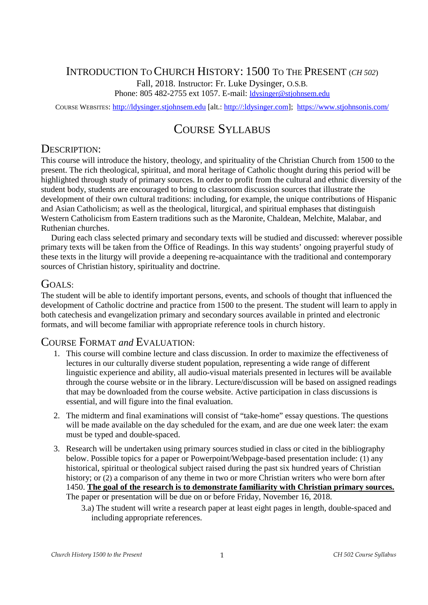# INTRODUCTION T<sup>O</sup> CHURCH HISTORY: 1500 T<sup>O</sup> THE PRESENT (*CH 502*)

Fall, 2018. Instructor: Fr. Luke Dysinger, O.S.B.

Phone: 805 482-2755 ext 1057. E-mail: ldysinger@stjohnsem.edu

COURSE WEBSITES: http://ldysinger.stjohnsem.edu [alt.: http://:ldysinger.com]; https://www.stjohnsonis.com/

# COURSE SYLLABUS

# DESCRIPTION<sup>.</sup>

This course will introduce the history, theology, and spirituality of the Christian Church from 1500 to the present. The rich theological, spiritual, and moral heritage of Catholic thought during this period will be highlighted through study of primary sources. In order to profit from the cultural and ethnic diversity of the student body, students are encouraged to bring to classroom discussion sources that illustrate the development of their own cultural traditions: including, for example, the unique contributions of Hispanic and Asian Catholicism; as well as the theological, liturgical, and spiritual emphases that distinguish Western Catholicism from Eastern traditions such as the Maronite, Chaldean, Melchite, Malabar, and Ruthenian churches.

During each class selected primary and secondary texts will be studied and discussed: wherever possible primary texts will be taken from the Office of Readings. In this way students' ongoing prayerful study of these texts in the liturgy will provide a deepening re-acquaintance with the traditional and contemporary sources of Christian history, spirituality and doctrine.

## GOALS:

The student will be able to identify important persons, events, and schools of thought that influenced the development of Catholic doctrine and practice from 1500 to the present. The student will learn to apply in both catechesis and evangelization primary and secondary sources available in printed and electronic formats, and will become familiar with appropriate reference tools in church history.

## COURSE FORMAT *and* EVALUATION:

- 1. This course will combine lecture and class discussion. In order to maximize the effectiveness of lectures in our culturally diverse student population, representing a wide range of different linguistic experience and ability, all audio-visual materials presented in lectures will be available through the course website or in the library. Lecture/discussion will be based on assigned readings that may be downloaded from the course website. Active participation in class discussions is essential, and will figure into the final evaluation.
- 2. The midterm and final examinations will consist of "take-home" essay questions. The questions will be made available on the day scheduled for the exam, and are due one week later: the exam must be typed and double-spaced.
- 3. Research will be undertaken using primary sources studied in class or cited in the bibliography below. Possible topics for a paper or Powerpoint/Webpage-based presentation include: (1) any historical, spiritual or theological subject raised during the past six hundred years of Christian history; or (2) a comparison of any theme in two or more Christian writers who were born after 1450. **The goal of the research is to demonstrate familiarity with Christian primary sources.** The paper or presentation will be due on or before Friday, November 16, 2018.
	- 3.a) The student will write a research paper at least eight pages in length, double-spaced and including appropriate references.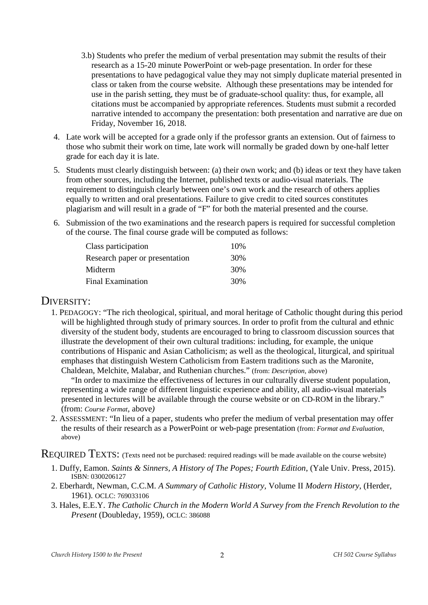- 3.b) Students who prefer the medium of verbal presentation may submit the results of their research as a 15-20 minute PowerPoint or web-page presentation. In order for these presentations to have pedagogical value they may not simply duplicate material presented in class or taken from the course website. Although these presentations may be intended for use in the parish setting, they must be of graduate-school quality: thus, for example, all citations must be accompanied by appropriate references. Students must submit a recorded narrative intended to accompany the presentation: both presentation and narrative are due on Friday, November 16, 2018.
- 4. Late work will be accepted for a grade only if the professor grants an extension. Out of fairness to those who submit their work on time, late work will normally be graded down by one-half letter grade for each day it is late.
- 5. Students must clearly distinguish between: (a) their own work; and (b) ideas or text they have taken from other sources, including the Internet, published texts or audio-visual materials. The requirement to distinguish clearly between one's own work and the research of others applies equally to written and oral presentations. Failure to give credit to cited sources constitutes plagiarism and will result in a grade of "F" for both the material presented and the course.
- 6. Submission of the two examinations and the research papers is required for successful completion of the course. The final course grade will be computed as follows:

| Class participation            | 10% |
|--------------------------------|-----|
| Research paper or presentation | 30% |
| Midterm                        | 30% |
| <b>Final Examination</b>       | 30% |

## DIVERSITY:

1. PEDAGOGY: "The rich theological, spiritual, and moral heritage of Catholic thought during this period will be highlighted through study of primary sources. In order to profit from the cultural and ethnic diversity of the student body, students are encouraged to bring to classroom discussion sources that illustrate the development of their own cultural traditions: including, for example, the unique contributions of Hispanic and Asian Catholicism; as well as the theological, liturgical, and spiritual emphases that distinguish Western Catholicism from Eastern traditions such as the Maronite, Chaldean, Melchite, Malabar, and Ruthenian churches." (from: *Description,* above)

"In order to maximize the effectiveness of lectures in our culturally diverse student population, representing a wide range of different linguistic experience and ability, all audio-visual materials presented in lectures will be available through the course website or on CD-ROM in the library." (from: *Course Format,* above*)*

2. ASSESSMENT: "In lieu of a paper, students who prefer the medium of verbal presentation may offer the results of their research as a PowerPoint or web-page presentation (from: *Format and Evaluation,* above)

REQUIRED TEXTS: (Texts need not be purchased: required readings will be made available on the course website)

- 1. Duffy, Eamon. *Saints & Sinners, A History of The Popes; Fourth Edition*, (Yale Univ. Press, 2015). ISBN: 0300206127
- 2. Eberhardt, Newman, C.C.M. *A Summary of Catholic History,* Volume II *Modern History*, (Herder, 1961). OCLC: 769033106
- 3. Hales, E.E.Y. *The Catholic Church in the Modern World A Survey from the French Revolution to the Present* (Doubleday, 1959), OCLC: 386088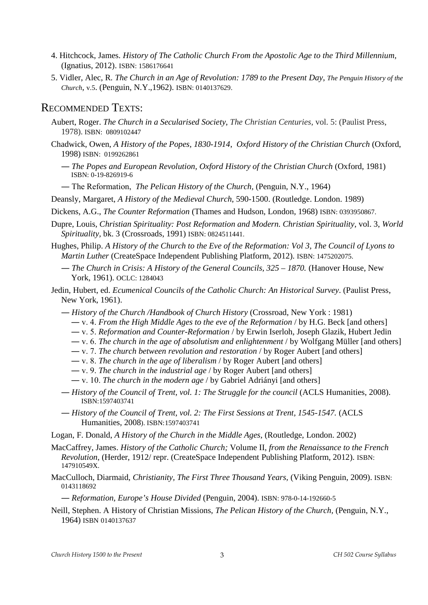- 4. Hitchcock, James. *History of The Catholic Church From the Apostolic Age to the Third Millennium,* (Ignatius, 2012). ISBN: 1586176641
- 5. Vidler, Alec, R*. The Church in an Age of Revolution: 1789 to the Present Day*, *The Penguin History of the Church*, v.5. (Penguin, N.Y.,1962). ISBN: 0140137629.

### RECOMMENDED TEXTS:

- Aubert, Roger. *The Church in a Secularised Society*, *The Christian Centuries*, vol. 5: (Paulist Press, 1978). ISBN: 0809102447
- Chadwick, Owen, *A History of the Popes, 1830-1914*, *Oxford History of the Christian Church* (Oxford, 1998) ISBN: 0199262861
	- ― *The Popes and European Revolution, Oxford History of the Christian Church* (Oxford, 1981) ISBN: 0-19-826919-6
	- ― The Reformation, *The Pelican History of the Church,* (Penguin, N.Y., 1964)

Deansly, Margaret, *A History of the Medieval Church*, 590-1500. (Routledge. London. 1989)

- Dickens, A.G., *The Counter Reformation* (Thames and Hudson, London, 1968) ISBN: 0393950867.
- Dupre, Louis*, Christian Spirituality: Post Reformation and Modern. Christian Spirituality*, vol. 3, *World Spirituality,* bk. 3 (Crossroads, 1991) ISBN: 0824511441.
- Hughes, Philip. *A History of the Church to the Eve of the Reformation: Vol 3, The Council of Lyons to Martin Luther* (CreateSpace Independent Publishing Platform, 2012). ISBN: 1475202075.
	- ― *The Church in Crisis: A History of the General Councils, 325 1870.* (Hanover House, New York, 1961). OCLC: 1284043
- Jedin, Hubert, ed. *Ecumenical Councils of the Catholic Church: An Historical Survey*. (Paulist Press, New York, 1961).
	- ― *History of the Church /Handbook of Church History* (Crossroad, New York : 1981)
		- ― v. 4. *From the High Middle Ages to the eve of the Reformation* / by H.G. Beck [and others]
		- ― v. 5. *Reformation and Counter-Reformation* / by Erwin Iserloh, Joseph Glazik, Hubert Jedin
		- ― v. 6. *The church in the age of absolutism and enlightenment* / by Wolfgang Müller [and others]
		- ― v. 7. *The church between revolution and restoration* / by Roger Aubert [and others]
		- ― v. 8. *The church in the age of liberalism* / by Roger Aubert [and others]
		- ― v. 9. *The church in the industrial age* / by Roger Aubert [and others]
		- ― v. 10. *The church in the modern age* / by Gabriel Adriányi [and others]
	- ― *History of the Council of Trent, vol. 1: The Struggle for the council* (ACLS Humanities, 2008). ISBN:1597403741
	- ― *History of the Council of Trent, vol. 2: The First Sessions at Trent, 1545-1547.* (ACLS Humanities, 2008). ISBN:1597403741

Logan, F. Donald, *A History of the Church in the Middle Ages*, (Routledge, London. 2002)

- MacCaffrey, James. *History of the Catholic Church;* Volume II, *from the Renaissance to the French Revolution*, (Herder, 1912/ repr. (CreateSpace Independent Publishing Platform, 2012). ISBN: 147910549X.
- MacCulloch, Diarmaid, *Christianity, The First Three Thousand Years,* (Viking Penguin, 2009). ISBN: 0143118692

― *Reformation, Europe's House Divided* (Penguin, 2004). ISBN: 978-0-14-192660-5

Neill, Stephen. A History of Christian Missions, *The Pelican History of the Church,* (Penguin, N.Y., 1964) ISBN 0140137637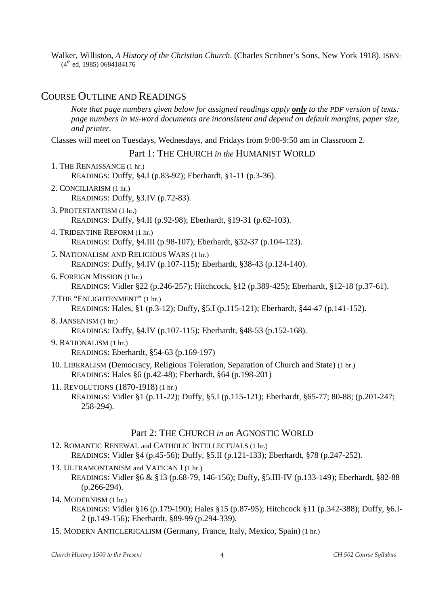Walker, Williston, *A History of the Christian Church*. (Charles Scribner's Sons, New York 1918). ISBN:  $(4<sup>th</sup>$  ed, 1985) 0684184176

### COURSE OUTLINE AND READINGS

*Note that page numbers given below for assigned readings apply only to the PDF version of texts: page numbers in MS-Word documents are inconsistent and depend on default margins, paper size, and printer.*

Classes will meet on Tuesdays, Wednesdays, and Fridays from 9:00-9:50 am in Classroom 2.

#### Part 1: THE CHURCH *in the* HUMANIST WORLD

- 1. THE RENAISSANCE (1 hr.) READINGS: Duffy, §4.I (p.83-92); Eberhardt, §1-11 (p.3-36). 2. CONCILIARISM (1 hr.)
	- READINGS: Duffy, §3.IV (p.72-83).
- 3. PROTESTANTISM (1 hr.) READINGS: Duffy, §4.II (p.92-98); Eberhardt, §19-31 (p.62-103).
- 4. TRIDENTINE REFORM (1 hr.) READINGS: Duffy, §4.III (p.98-107); Eberhardt, §32-37 (p.104-123).
- 5. NATIONALISM AND RELIGIOUS WARS (1 hr.) READINGS: Duffy, §4.IV (p.107-115); Eberhardt, §38-43 (p.124-140).
- 6. FOREIGN MISSION (1 hr.) READINGS: Vidler §22 (p.246-257); Hitchcock, §12 (p.389-425); Eberhardt, §12-18 (p.37-61).
- 7.THE "ENLIGHTENMENT" (1 hr.) READINGS: Hales, §1 (p.3-12); Duffy, §5.I (p.115-121); Eberhardt, §44-47 (p.141-152).
- 8. JANSENISM (1 hr.) READINGS: Duffy, §4.IV (p.107-115); Eberhardt, §48-53 (p.152-168).
- 9. RATIONALISM (1 hr.) READINGS: Eberhardt, §54-63 (p.169-197)
- 10. LIBERALISM (Democracy, Religious Toleration, Separation of Church and State) (1 hr.) READINGS: Hales §6 (p.42-48); Eberhardt, §64 (p.198-201)
- 11. REVOLUTIONS (1870-1918) (1 hr.) READINGS: Vidler §1 (p.11-22); Duffy, §5.I (p.115-121); Eberhardt, §65-77; 80-88; (p.201-247; 258-294).

#### Part 2: THE CHURCH *in an* AGNOSTIC WORLD

- 12. ROMANTIC RENEWAL and CATHOLIC INTELLECTUALS (1 hr.) READINGS: Vidler §4 (p.45-56); Duffy, §5.II (p.121-133); Eberhardt, §78 (p.247-252).
- 13. ULTRAMONTANISM and VATICAN I (1 hr.)
	- READINGS: Vidler §6 & §13 (p.68-79, 146-156); Duffy, §5.III-IV (p.133-149); Eberhardt, §82-88 (p.266-294).

#### 14. MODERNISM (1 hr.)

- READINGS: Vidler §16 (p.179-190); Hales §15 (p.87-95); Hitchcock §11 (p.342-388); Duffy, §6.I-2 (p.149-156); Eberhardt, §89-99 (p.294-339).
- 15. MODERN ANTICLERICALISM (Germany, France, Italy, Mexico, Spain) (1 hr.)